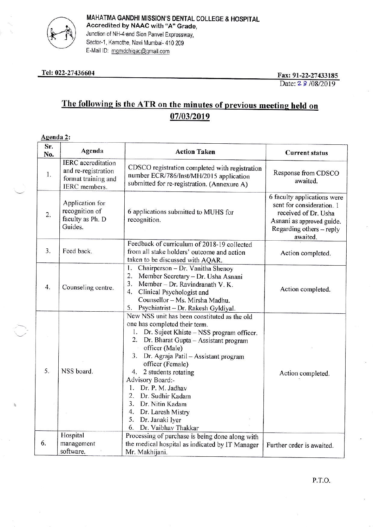

MAHATMA GANDHI MISSION'S DENTAL COLLEGE & HOSPITAL Accredited by NAAC with "A" Grade, Junction of NH-4 and Sion Panvel Expressway, Sector-1, Kamothe, Navi Mumbai- 410 209 E-Mail ID: mgmdchiqac@gmail.com

#### Tel: 022-27436604

Fax: 91-22-27433185 Date: 2 8 /08/2019

# The following is the ATR on the minutes of previous meeting held on 07/03/2019

#### Agenda 2:

| Sr.<br>No. | Agenda                                                                                   | <b>Action Taken</b>                                                                                                                                                                                                                                                                                                                                                                                                                                                         | <b>Current status</b>                                                                                                                                 |
|------------|------------------------------------------------------------------------------------------|-----------------------------------------------------------------------------------------------------------------------------------------------------------------------------------------------------------------------------------------------------------------------------------------------------------------------------------------------------------------------------------------------------------------------------------------------------------------------------|-------------------------------------------------------------------------------------------------------------------------------------------------------|
| 1.         | <b>IERC</b> accreditation<br>and re-registration<br>format training and<br>IERC members. | CDSCO registration completed with registration<br>number ECR/786/Inst/MH/2015 application<br>submitted for re-registration. (Annexure A)                                                                                                                                                                                                                                                                                                                                    | Response from CDSCO<br>awaited.                                                                                                                       |
| 2.         | Application for<br>recognition of<br>faculty as Ph. D<br>Guides.                         | 6 applications submitted to MUHS for<br>recognition.                                                                                                                                                                                                                                                                                                                                                                                                                        | 6 faculty applications were<br>sent for consideration. 1<br>received of Dr. Usha<br>Asnani as approved guide.<br>Regarding others - reply<br>awaited. |
| 3.         | Feed back.                                                                               | Feedback of curriculum of 2018-19 collected<br>from all stake holders' outcome and action<br>taken to be discussed with AQAR.                                                                                                                                                                                                                                                                                                                                               | Action completed.                                                                                                                                     |
| 4.         | Counseling centre.                                                                       | 1.<br>Chairperson - Dr. Vanitha Shenoy<br>2.<br>Member Secretary - Dr. Usha Asnani<br>3.<br>Member - Dr. Ravindranath V. K.<br>4.<br>Clinical Psychologist and<br>Counsellor - Ms. Mirsha Madhu.<br>Psychiatrist - Dr. Rakesh Gyldiyal.<br>5.                                                                                                                                                                                                                               | Action completed.                                                                                                                                     |
| 5.         | NSS board.                                                                               | New NSS unit has been constituted as the old<br>one has completed their term.<br>Dr. Sujeet Khiste - NSS program officer.<br>1.<br>2.<br>Dr. Bharat Gupta - Assistant program<br>officer (Male)<br>3. Dr. Agraja Patil - Assistant program<br>officer (Female)<br>4. 2 students rotating<br>Advisory Board:-<br>Dr. P. M. Jadhav<br>$\mathbf{L}$<br>2. Dr. Sudhir Kadam<br>3. Dr. Nitin Kadam<br>4. Dr. Laresh Mistry<br>5.<br>Dr. Janaki Iyer<br>Dr. Vaibhav Thakkar<br>6. | Action completed.                                                                                                                                     |
| 6.         | Hospital<br>management<br>software.                                                      | Processing of purchase is being done along with<br>the medical hospital as indicated by IT Manager<br>Mr. Makhijani.                                                                                                                                                                                                                                                                                                                                                        | Further order is awaited.                                                                                                                             |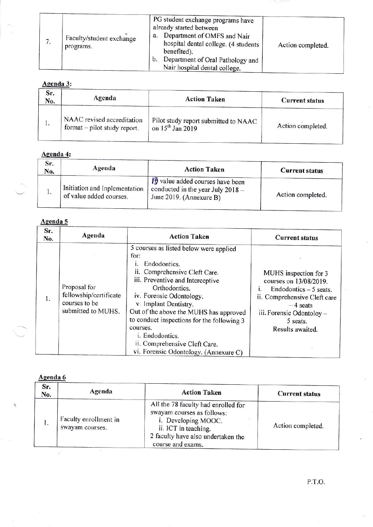|  | Faculty/student exchange<br>programs. | PG student exchange programs have<br>already started between<br>Department of OMFS and Nair<br>a.<br>hospital dental college. (4 students<br>benefited).<br>Department of Oral Pathology and<br>$\mathbf{b}$ .<br>Nair hospital dental college. | Action completed. |  |
|--|---------------------------------------|-------------------------------------------------------------------------------------------------------------------------------------------------------------------------------------------------------------------------------------------------|-------------------|--|
|--|---------------------------------------|-------------------------------------------------------------------------------------------------------------------------------------------------------------------------------------------------------------------------------------------------|-------------------|--|

## Agenda 3:

| Sr.<br>No. | Agenda                                                     | <b>Action Taken</b>                                                  | <b>Current status</b> |
|------------|------------------------------------------------------------|----------------------------------------------------------------------|-----------------------|
|            | NAAC revised accreditation<br>format – pilot study report. | Pilot study report submitted to NAAC<br>on 15 <sup>th</sup> Jan 2019 | Action completed.     |

# Agenda 4:

| Sr.<br>No.   | Agenda                                                   | <b>Action Taken</b>                                                                                        | <b>Current status</b> |
|--------------|----------------------------------------------------------|------------------------------------------------------------------------------------------------------------|-----------------------|
| $\mathbf{L}$ | Initiation and Inplementation<br>of value added courses. | $\sqrt{3}$ value added courses have been<br>conducted in the year July $2018 -$<br>June 2019. (Annexure B) | Action completed.     |

# Agenda 5

| Sr.<br>No. | Agenda                                                                        | <b>Action Taken</b>                                                                                                                                                                                                                                                                                                                                                                                          | <b>Current status</b>                                                                                                                                                                |
|------------|-------------------------------------------------------------------------------|--------------------------------------------------------------------------------------------------------------------------------------------------------------------------------------------------------------------------------------------------------------------------------------------------------------------------------------------------------------------------------------------------------------|--------------------------------------------------------------------------------------------------------------------------------------------------------------------------------------|
|            | Proposal for<br>fellowship/certificate<br>courses to be<br>submitted to MUHS. | 5 courses as listed below were applied<br>for:<br>Endodontics.<br>Comprehensive Cleft Care.<br>н.<br>iii. Preventive and Interceptive<br>Orthodontics.<br>iv. Forensic Odontology.<br>v. Implant Dentistry.<br>Out of the above the MUHS has approved<br>to conduct inspections for the following 3<br>courses.<br>i. Endodontics.<br>ii. Comprehensive Cleft Care.<br>vi. Forensic Odontology. (Annexure C) | MUHS inspection for 3<br>courses on 13/08/2019.<br>Endodontics - 5 seats.<br>ii. Comprehensive Cleft care<br>$-4$ seats<br>iii. Forensic Odontoloy -<br>5 seats.<br>Results awaited. |

#### Agenda 6

| Sr.<br>No. | Agenda                                   | <b>Action Taken</b>                                                                                                                                                         | <b>Current status</b> |
|------------|------------------------------------------|-----------------------------------------------------------------------------------------------------------------------------------------------------------------------------|-----------------------|
| 1.         | Faculty enrollment in<br>swayam courses. | All the 78 faculty had enrolled for<br>swayam courses as follows:<br>i. Developing MOOC.<br>ii. ICT in teaching.<br>2 faculty have also undertaken the<br>course and exams. | Action completed.     |